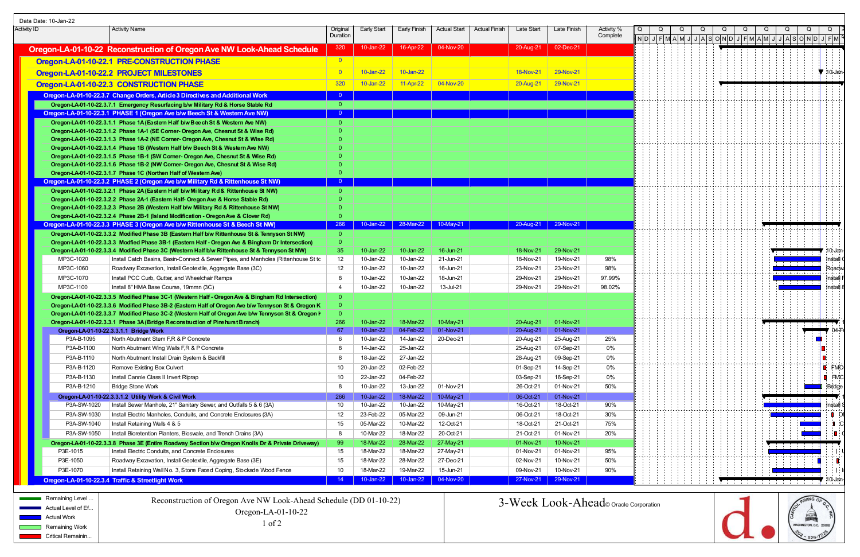|             | Data Date: 10-Jan-22             |                                                                                                                                                                                       |                         |                        |                        |                               |                                             |                        |                        |                                      |  |  |                                                                                                                                                                                                                                                                                                                                  |   |                                       |                            |
|-------------|----------------------------------|---------------------------------------------------------------------------------------------------------------------------------------------------------------------------------------|-------------------------|------------------------|------------------------|-------------------------------|---------------------------------------------|------------------------|------------------------|--------------------------------------|--|--|----------------------------------------------------------------------------------------------------------------------------------------------------------------------------------------------------------------------------------------------------------------------------------------------------------------------------------|---|---------------------------------------|----------------------------|
| Activity ID |                                  | Activity Name                                                                                                                                                                         | Original<br>Duration    | Early Start            |                        |                               | Early Finish   Actual Start   Actual Finish | Late Start             | Late Finish            | Activity <sup>o</sup><br>Complete    |  |  |                                                                                                                                                                                                                                                                                                                                  | Q |                                       |                            |
|             |                                  |                                                                                                                                                                                       |                         |                        |                        |                               |                                             |                        |                        |                                      |  |  | $\boxed{\texttt{N} \texttt{D} \texttt{J}  \texttt{F} \texttt{M} \texttt{A} \texttt{M} \texttt{J} \texttt{A} \texttt{S} \texttt{O} \texttt{N} \texttt{D} \texttt{J}  \texttt{F} \texttt{M} \texttt{A} \texttt{M} \texttt{J} \texttt{J} \texttt{A} \texttt{S} \texttt{O} \texttt{N} \texttt{D} \texttt{J} \texttt{F} \texttt{M} }$ |   |                                       |                            |
|             |                                  | Oregon-LA-01-10-22 Reconstruction of Oregon Ave NW Look-Ahead Schedule                                                                                                                | 320                     | 10-Jan-22              | 16-Apr-22              | 04-Nov-20                     |                                             | 20-Aug-21              | 02-Dec-21              |                                      |  |  |                                                                                                                                                                                                                                                                                                                                  |   |                                       |                            |
|             |                                  | Oregon-LA-01-10-22.1 PRE-CONSTRUCTION PHASE                                                                                                                                           |                         |                        |                        |                               |                                             |                        |                        |                                      |  |  |                                                                                                                                                                                                                                                                                                                                  |   |                                       |                            |
|             |                                  | Oregon-LA-01-10-22.2 PROJECT MILESTONES                                                                                                                                               |                         | 10-Jan-22              | $10$ -Jan-22           |                               |                                             | <b>18-Nov-21</b>       | 29-Nov-21              |                                      |  |  |                                                                                                                                                                                                                                                                                                                                  |   |                                       | $\blacktriangledown$ 10-Ja |
|             |                                  | Oregon-LA-01-10-22.3 CONSTRUCTION PHASE                                                                                                                                               | 320                     | 10-Jan-22              | 11-Apr-22              | 04-Nov-20                     |                                             | 20-Aug-21 29-Nov-21    |                        |                                      |  |  |                                                                                                                                                                                                                                                                                                                                  |   |                                       |                            |
|             |                                  | Oregon-LA-01-10-22.3.7 Change Orders, Article 3 Directives and Additional Work                                                                                                        |                         |                        |                        |                               |                                             |                        |                        |                                      |  |  |                                                                                                                                                                                                                                                                                                                                  |   |                                       |                            |
|             |                                  | Oregon-LA-01-10-22.3.7.1 Emergency Resurfacing b/w Military Rd & Horse Stable Rd                                                                                                      | - 0 -                   |                        |                        |                               |                                             |                        |                        |                                      |  |  |                                                                                                                                                                                                                                                                                                                                  |   |                                       |                            |
|             |                                  | Oregon-LA-01-10-22.3.1 PHASE 1 (Oregon Ave b/w Beech St & Western Ave NW)                                                                                                             | $\overline{\mathbf{0}}$ |                        |                        |                               |                                             |                        |                        |                                      |  |  |                                                                                                                                                                                                                                                                                                                                  |   |                                       |                            |
|             |                                  | Oregon-LA-01-10-22.3.1.1 Phase 1A (Eastern Half b/w Beech St & Western Ave NW)                                                                                                        |                         |                        |                        |                               |                                             |                        |                        |                                      |  |  |                                                                                                                                                                                                                                                                                                                                  |   |                                       |                            |
|             |                                  | Oregon-LA-01-10-22.3.1.2 Phase 1A-1 (SE Corner- Oregon Ave, Chesnut St & Wise Rd)                                                                                                     |                         |                        |                        |                               |                                             |                        |                        |                                      |  |  |                                                                                                                                                                                                                                                                                                                                  |   |                                       |                            |
|             |                                  | Oregon-LA-01-10-22.3.1.3 Phase 1A-2 (NE Corner- Oregon Ave, Chesnut St & Wise Rd)                                                                                                     |                         |                        |                        |                               |                                             |                        |                        |                                      |  |  |                                                                                                                                                                                                                                                                                                                                  |   |                                       |                            |
|             |                                  | Oregon-LA-01-10-22.3.1.4 Phase 1B (Western Half b/w Beech St & Western Ave NW)                                                                                                        |                         |                        |                        |                               |                                             |                        |                        |                                      |  |  |                                                                                                                                                                                                                                                                                                                                  |   |                                       |                            |
|             |                                  | Oregon-LA-01-10-22.3.1.5 Phase 1B-1 (SW Corner- Oregon Ave, Chesnut St & Wise Rd)<br>Oregon-LA-01-10-22.3.1.6 Phase 1B-2 (NW Corner- Oregon Ave, Chesnut St & Wise Rd)                |                         |                        |                        |                               |                                             |                        |                        |                                      |  |  |                                                                                                                                                                                                                                                                                                                                  |   |                                       |                            |
|             |                                  | Oregon-LA-01-10-22.3.1.7 Phase 1C (Northen Half of Western Ave)                                                                                                                       |                         |                        |                        |                               |                                             |                        |                        |                                      |  |  |                                                                                                                                                                                                                                                                                                                                  |   |                                       |                            |
|             |                                  | Oregon-LA-01-10-22.3.2 PHASE 2 (Oregon Ave b/w Military Rd & Rittenhouse St NW)                                                                                                       | $\overline{0}$          |                        |                        |                               |                                             |                        |                        |                                      |  |  |                                                                                                                                                                                                                                                                                                                                  |   |                                       |                            |
|             |                                  | Oregon-LA-01-10-22.3.2.1 Phase 2A (Eastern Half b/w Military Rd & Ritterhouse St NW)                                                                                                  |                         |                        |                        |                               |                                             |                        |                        |                                      |  |  |                                                                                                                                                                                                                                                                                                                                  |   |                                       |                            |
|             |                                  | Oregon-LA-01-10-22.3.2.2 Phase 2A-1 (Eastern Half- Oregon Ave & Horse Stable Rd)                                                                                                      |                         |                        |                        |                               |                                             |                        |                        |                                      |  |  |                                                                                                                                                                                                                                                                                                                                  |   |                                       |                            |
|             |                                  | Oregon-LA-01-10-22.3.2.3 Phase 2B (Western Half b/w Military Rd & Rittenhouse St NW)                                                                                                  |                         |                        |                        |                               |                                             |                        |                        |                                      |  |  |                                                                                                                                                                                                                                                                                                                                  |   |                                       |                            |
|             |                                  | Oregon-LA-01-10-22.3.2.4 Phase 2B-1 (Island Modification - Oregon Ave & Clover Rd)                                                                                                    |                         |                        |                        |                               |                                             |                        |                        |                                      |  |  |                                                                                                                                                                                                                                                                                                                                  |   |                                       |                            |
|             |                                  | Oregon-LA-01-10-22.3.3 PHASE 3 (Oregon Ave b/w Rittenhouse St & Beech St NW)<br>Oregon-LA-01-10-22.3.3.2 Modified Phase 3B (Eastern Half b/w Rittenhouse St & Tennyson St NW)         | 266                     |                        |                        | 10-Jan-22 28-Mar-22 10-May-21 |                                             |                        | 20-Aug-21 29-Nov-21    |                                      |  |  |                                                                                                                                                                                                                                                                                                                                  |   |                                       |                            |
|             |                                  | Oregon-LA-01-10-22.3.3.3 Modfied Phase 3B-1 (Eastern Half - Oregon Ave & Bingham Dr Intersection)                                                                                     |                         |                        |                        |                               |                                             |                        |                        |                                      |  |  |                                                                                                                                                                                                                                                                                                                                  |   |                                       |                            |
|             |                                  | Oregon-LA-01-10-22.3.3.4 Modified Phase 3C (Western Half b/w Rittenhouse St & Tennyson St NW)                                                                                         | -35                     | 10-Jan-22              | 10-Jan-22              | 16-Jun-21                     |                                             | 18-Nov-21              | 29-Nov-21              |                                      |  |  |                                                                                                                                                                                                                                                                                                                                  |   |                                       |                            |
|             | MP3C-1020                        | Install Catch Basins, Basin-Connect & Sewer Pipes, and Manholes (Rittenhouse St tc                                                                                                    | 12                      | 10-Jan-22              | 10-Jan-22              | 21-Jun-21                     |                                             | 18-Nov-21              | 19-Nov-21              | 98%                                  |  |  |                                                                                                                                                                                                                                                                                                                                  |   |                                       | nṡtall                     |
|             | MP3C-1060                        | Roadway Excavation, Install Geotextile, Aggregate Base (3C)                                                                                                                           | 12                      | 10-Jan-22              | 10-Jan-22              | 16-Jun-21                     |                                             | 23-Nov-21              | 23-Nov-21              | 98%                                  |  |  |                                                                                                                                                                                                                                                                                                                                  |   |                                       | :Road                      |
|             | MP3C-1070                        | Install PCC Curb, Gutter, and Wheelchair Ramps                                                                                                                                        |                         | 10-Jan-22              | 10-Jan-22              | 18-Jun-21                     |                                             | 29-Nov-21              | 29-Nov-21              | 97.99%                               |  |  |                                                                                                                                                                                                                                                                                                                                  |   |                                       | Install                    |
|             | MP3C-1100                        | Install 8" HMA Base Course, 19mmn (3C)                                                                                                                                                |                         | 10-Jan-22              | 10-Jan-22              | 13-Jul-21                     |                                             | 29-Nov-21              | 29-Nov-21              | 98.02%                               |  |  |                                                                                                                                                                                                                                                                                                                                  |   |                                       | Install                    |
|             |                                  | Oregon-LA-01-10-22.3.3.5 Modified Phase 3C-1 (Western Half - Oregon Ave & Bingham Rd Intersection)                                                                                    |                         |                        |                        |                               |                                             |                        |                        |                                      |  |  |                                                                                                                                                                                                                                                                                                                                  |   |                                       |                            |
|             |                                  | Oregon-LA-01-10-22.3.3.6 Modified Phase 3B-2 (Eastern Half of Oregon Ave b/w Tennyson St & Oregon K                                                                                   |                         |                        |                        |                               |                                             |                        |                        |                                      |  |  |                                                                                                                                                                                                                                                                                                                                  |   |                                       |                            |
|             |                                  | Oregon-LA-01-10-22.3.3.7 Modified Phase 3C-2 (Western Half of Oregon Ave b/w Tennyson St & Oregon I<br>Oregon-LA-01-10-22.3.3.1 Phase 3A (Bridge Reconstruction of Pine hurst Branch) | -266                    | 10-Jan-22              | 18-Mar-22              | 10-May-21                     |                                             | 20-Aug-21              | 01-Nov-21              |                                      |  |  |                                                                                                                                                                                                                                                                                                                                  |   |                                       |                            |
|             |                                  | Oregon-LA-01-10-22.3.3.1.1 Bridge Work                                                                                                                                                | -67                     |                        | 10-Jan-22 04-Feb-22    | 01-Nov-21                     |                                             |                        | 20-Aug-21 01-Nov-21    |                                      |  |  |                                                                                                                                                                                                                                                                                                                                  |   |                                       |                            |
|             | P3A-B-1095                       | North Abutment Stem F,R & P Concrete                                                                                                                                                  |                         | 10-Jan-22              | 14-Jan-22              | 20-Dec-21                     |                                             | 20-Aug-21              | 25-Aug-21              | 25%                                  |  |  |                                                                                                                                                                                                                                                                                                                                  |   |                                       |                            |
|             | P3A-B-1100                       | North Abutment Wing Walls F,R & P Concrete                                                                                                                                            |                         | 14-Jan-22              | 25-Jan-22              |                               |                                             | 25-Aug-21              | 07-Sep-21              | 0%                                   |  |  |                                                                                                                                                                                                                                                                                                                                  |   |                                       |                            |
|             | P3A-B-1110                       | North Abutment Install Drain System & Backfill                                                                                                                                        |                         | 18-Jan-22              | 27-Jan-22              |                               |                                             | 28-Aug-21              | 09-Sep-21              | 0%                                   |  |  |                                                                                                                                                                                                                                                                                                                                  |   |                                       |                            |
|             | P3A-B-1120                       | Remove Existing Box Culvert                                                                                                                                                           | 10                      | 20-Jan-22              | 02-Feb-22              |                               |                                             | 01-Sep-21              | 14-Sep-21              | 0%                                   |  |  |                                                                                                                                                                                                                                                                                                                                  |   |                                       | $\blacksquare$ FM          |
|             | P3A-B-1130                       | Install Cannle Class II Invert Riprap                                                                                                                                                 | 10                      | 22-Jan-22              | 04-Feb-22              |                               |                                             | 03-Sep-21              | 16-Sep-21              | 0%                                   |  |  |                                                                                                                                                                                                                                                                                                                                  |   |                                       | <b>B</b> FMC               |
|             | P3A-B-1210                       | Bridge Stone Work                                                                                                                                                                     | - 8                     | 10-Jan-22              | 13-Jan-22              | 01-Nov-21                     |                                             | 26-Oct-21              | 01-Nov-21              | 50%                                  |  |  |                                                                                                                                                                                                                                                                                                                                  |   |                                       | <b>Bridge</b>              |
|             |                                  | Oregon-LA-01-10-22.3.3.1.2 Utility Work & Civil Work                                                                                                                                  | -266                    | 10-Jan-22              | 18-Mar-22              | 10-May-21                     |                                             | 06-Oct-21              | 01-Nov-21              |                                      |  |  |                                                                                                                                                                                                                                                                                                                                  |   | <b>Experience Controllers</b>         |                            |
|             | P3A-SW-1020                      | Install Sewer Manhole, 21" Sanitary Sewer, and Outfalls 5 & 6 (3A)                                                                                                                    | 10                      | 10-Jan-22              | 10-Jan-22              | 10-May-21                     |                                             | 16-Oct-21              | 18-Oct-21              | 90%                                  |  |  |                                                                                                                                                                                                                                                                                                                                  |   | a d'a a b'a ala a d'a a b'a a b'a d'a | <b>Install</b>             |
|             | P3A-SW-1030                      | Install Electric Manholes, Conduits, and Concrete Enclosures (3A)                                                                                                                     | 12                      | 23-Feb-22              | 05-Mar-22              | 09-Jun-21                     |                                             | 06-Oct-21              | 18-Oct-21              | 30%                                  |  |  |                                                                                                                                                                                                                                                                                                                                  |   |                                       |                            |
|             | P3A-SW-1040                      | Install Retaining Walls 4 & 5                                                                                                                                                         | 15                      | 05-Mar-22              | 10-Mar-22              | 12-Oct-21                     |                                             | 18-Oct-21              | 21-Oct-21              | 75%                                  |  |  |                                                                                                                                                                                                                                                                                                                                  |   |                                       |                            |
|             | P3A-SW-1050                      | Install Bioretention Planters, Bioswale, and Trench Drains (3A)                                                                                                                       | - 8                     | 10-Mar-22              | 18-Mar-22              | 20-Oct-21                     |                                             | 21-Oct-21              | 01-Nov-21              | 20%                                  |  |  |                                                                                                                                                                                                                                                                                                                                  |   |                                       |                            |
|             | P3E-1015                         | Oregon-LA-01-10-22.3.3.8 Phase 3E (Entire Roadway Section b/w Oregon Knolls Dr & Private Driveway)<br>Install Electric Conduits, and Concrete Enclosures                              | 15                      | 18-Mar-22<br>18-Mar-22 | 28-Mar-22<br>18-Mar-22 | 27-May-21<br>27-May-21        |                                             | 01-Nov-21<br>01-Nov-21 | 10-Nov-21<br>01-Nov-21 | 95%                                  |  |  |                                                                                                                                                                                                                                                                                                                                  |   | 11111111                              |                            |
|             | P3E-1050                         | Roadway Excavation, Install Geotextile, Aggregate Base (3E)                                                                                                                           | 15                      | 18-Mar-22              | 28-Mar-22              | 27-Dec-21                     |                                             | 02-Nov-21              | 10-Nov-21              | 50%                                  |  |  |                                                                                                                                                                                                                                                                                                                                  |   |                                       |                            |
|             | P3E-1070                         | Install Retaining Wall No. 3, Stone Faced Coping, Stockade Wood Fence                                                                                                                 | 10                      | 18-Mar-22              | 19-Mar-22              | 15-Jun-21                     |                                             | 09-Nov-21              | 10-Nov-21              | 90%                                  |  |  |                                                                                                                                                                                                                                                                                                                                  |   |                                       |                            |
|             |                                  | Oregon-LA-01-10-22.3.4 Traffic & Streetlight Work                                                                                                                                     | $\sqrt{14}$             | 10-Jan-22              | 10-Jan-22              | 04-Nov-20                     |                                             |                        | 27-Nov-21 29-Nov-21    |                                      |  |  |                                                                                                                                                                                                                                                                                                                                  |   |                                       |                            |
|             |                                  |                                                                                                                                                                                       |                         |                        |                        |                               |                                             |                        |                        |                                      |  |  |                                                                                                                                                                                                                                                                                                                                  |   |                                       |                            |
|             | <b>Remaining Level</b>           | Reconstruction of Oregon Ave NW Look-Ahead Schedule (DD 01-10-22)                                                                                                                     |                         |                        |                        |                               |                                             |                        |                        |                                      |  |  |                                                                                                                                                                                                                                                                                                                                  |   |                                       |                            |
|             | Actual Level of Ef               |                                                                                                                                                                                       |                         |                        |                        |                               |                                             |                        |                        | 3-Week Look-Ahead oracle Corporation |  |  |                                                                                                                                                                                                                                                                                                                                  |   |                                       |                            |
|             | <b>No.</b> Actual Work           | Oregon-LA-01-10-22                                                                                                                                                                    |                         |                        |                        |                               |                                             |                        |                        |                                      |  |  |                                                                                                                                                                                                                                                                                                                                  |   |                                       |                            |
|             | <b>Remaining Work</b>            | $1$ of $2$                                                                                                                                                                            |                         |                        |                        |                               |                                             |                        |                        |                                      |  |  |                                                                                                                                                                                                                                                                                                                                  |   | MASHINGTON, D.C. 20018                |                            |
|             | <b>EXAMPLE Critical Remainin</b> |                                                                                                                                                                                       |                         |                        |                        |                               |                                             |                        |                        |                                      |  |  |                                                                                                                                                                                                                                                                                                                                  |   |                                       |                            |
|             |                                  |                                                                                                                                                                                       |                         |                        |                        |                               |                                             |                        |                        |                                      |  |  |                                                                                                                                                                                                                                                                                                                                  |   |                                       |                            |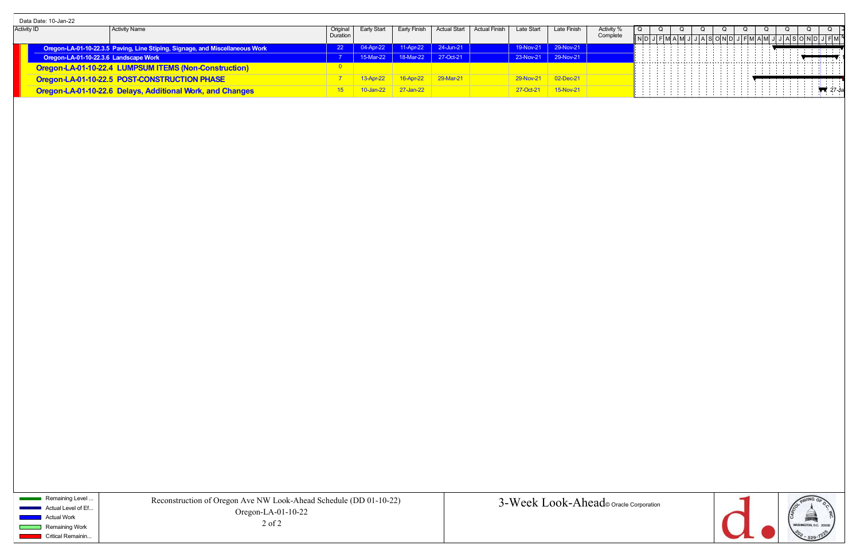|                    | Data Date: 10-Jan-22                  |                                                                              |                 |              |                               |                                       |               |                     |                     |          |  |  |   |                                                    |   |  |
|--------------------|---------------------------------------|------------------------------------------------------------------------------|-----------------|--------------|-------------------------------|---------------------------------------|---------------|---------------------|---------------------|----------|--|--|---|----------------------------------------------------|---|--|
| <b>Activity ID</b> |                                       | Activity Name                                                                | Origina         | Early Start  | Early Finish                  | Actual Start                          | Actual Finish | Late Start          | Late Finisl         | Activity |  |  |   |                                                    |   |  |
|                    |                                       |                                                                              | Duration        |              |                               |                                       |               |                     |                     | Complete |  |  |   | I JI AI SI OINIDI JI FIMI AIMI JI JI AI SI OI NI F |   |  |
|                    |                                       | Oregon-LA-01-10-22.3.5 Paving, Line Stiping, Signage, and Miscellaneous Work | 22 <sub>1</sub> | 04-Apr-22    | $11-Apr-22$ 24-Jun-21         |                                       |               | 19-Nov-21 29-Nov-21 |                     |          |  |  | . | .                                                  |   |  |
|                    | Oregon-LA-01-10-22.3.6 Landscape Work |                                                                              |                 |              |                               | 1   15-Mar-22   18-Mar-22   27-Oct-21 |               |                     | 23-Nov-21 29-Nov-21 |          |  |  |   |                                                    |   |  |
|                    |                                       | Oregon-LA-01-10-22.4 LUMPSUM ITEMS (Non-Construction)                        |                 |              |                               |                                       |               |                     |                     |          |  |  |   |                                                    | . |  |
|                    |                                       | Oregon-LA-01-10-22.5 POST-CONSTRUCTION PHASE                                 |                 |              | 13-Apr-22 16-Apr-22 29-Mar-21 |                                       |               |                     | 29-Nov-21 02-Dec-21 |          |  |  |   |                                                    |   |  |
|                    |                                       | Oregon-LA-01-10-22.6 Delays, Additional Work, and Changes                    | 15              | $10$ -Jan-22 | $27$ -Jan-22                  |                                       |               |                     |                     |          |  |  |   | .                                                  |   |  |

Remaining Level ... Actual Level of Ef... Actual Work Remaining Work

m.

**Critical Remainin...**